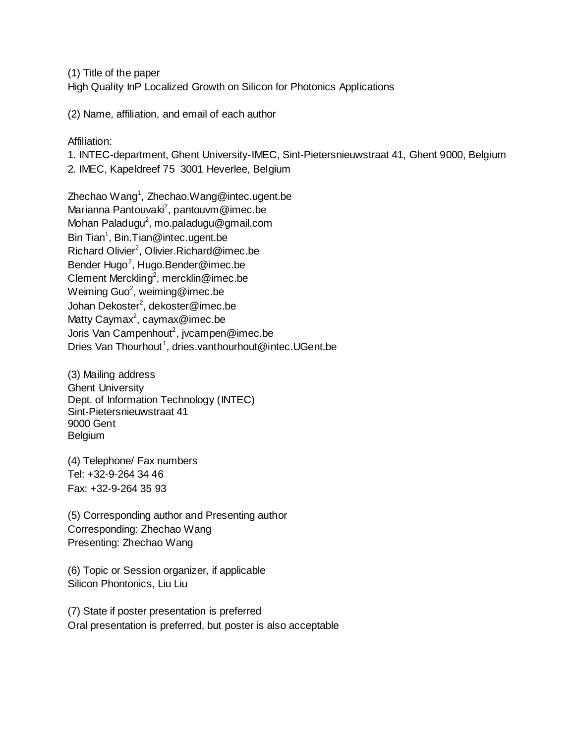(1) Title of the paper High Quality InP Localized Growth on Silicon for Photonics Applications

(2) Name, affiliation, and email of each author

Affiliation:

1. INTEC-department, Ghent University-IMEC, Sint-Pietersnieuwstraat 41, Ghent 9000, Belgium 2. IMEC, Kapeldreef 75 3001 Heverlee, Belgium

Zhechao Wang<sup>1</sup>, Zhechao.Wang@intec.ugent.be Marianna Pantouvaki<sup>2</sup>, pantouvm@imec.be Mohan Paladugu<sup>2</sup>, mo.paladugu@gmail.com Bin Tian<sup>1</sup>, Bin.Tian@intec.ugent.be Richard Olivier<sup>2</sup>, [Olivier.Richard@imec.be](mailto:Olivier.Richard@imec.be) Bender Hugo<sup>2</sup>, [Hugo.Bender@imec.be](mailto:Hugo.Bender@imec.be) Clement Merckling<sup>2</sup>, mercklin@imec.be Weiming Guo $^2$ , weiming@imec.be Johan Dekoster $^2$ , dekoster@imec.be Matty Caymax<sup>2</sup>, caymax@imec.be Joris Van Campenhout<sup>2</sup>, jvcampen@imec.be Dries Van Thourhout<sup>1</sup>, dries.vanthourhout@intec.UGent.be

(3) Mailing address Ghent University Dept. of Information Technology (INTEC) Sint-Pietersnieuwstraat 41 9000 Gent Belgium

(4) Telephone/ Fax numbers Tel: +32-9-264 34 46 Fax: +32-9-264 35 93

(5) Corresponding author and Presenting author Corresponding: Zhechao Wang Presenting: Zhechao Wang

(6) Topic or Session organizer, if applicable Silicon Phontonics, Liu Liu

(7) State if poster presentation is preferred Oral presentation is preferred, but poster is also acceptable